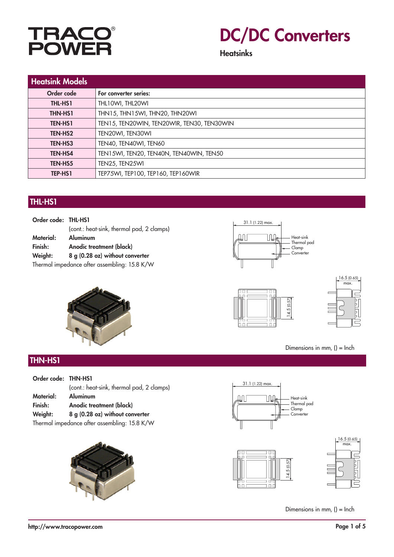

# DC/DC Converters

**Heatsinks** 

| <b>Heatsink Models</b> |                                            |
|------------------------|--------------------------------------------|
| Order code             | For converter series:                      |
| <b>THL-HS1</b>         | THL10WI, THL20WI                           |
| <b>THN-HS1</b>         | THN15, THN15WI, THN20, THN20WI             |
| <b>TEN-HS1</b>         | TEN15, TEN20WIN, TEN20WIR, TEN30, TEN30WIN |
| TEN-HS <sub>2</sub>    | TEN20WI, TEN30WI                           |
| TEN-HS3                | TEN40, TEN40WI, TEN60                      |
| <b>TEN-HS4</b>         | TEN15WI, TEN20, TEN40N, TEN40WIN, TEN50    |
| TEN-HS5                | TEN25, TEN25WI                             |
| TEP-HS1                | TEP75WI, TEP100, TEP160, TEP160WIR         |

## THL-HS1

| Order code: THL-HS1 |                                              |
|---------------------|----------------------------------------------|
|                     | (cont.: heat-sink, thermal pad, 2 clamps)    |
| Material:           | <b>Aluminum</b>                              |
| Finish:             | Anodic treatment (black)                     |
| Weight:             | 8 g (0.28 oz) without converter              |
|                     | Thermal impedance after assembling: 15.8 K/W |









Dimensions in mm, () = Inch

# THN-HS1

| Order code: THN-HS1 |                                              |
|---------------------|----------------------------------------------|
|                     | (cont.: heat-sink, thermal pad, 2 clamps)    |
| Material:           | <b>Aluminum</b>                              |
| Finish:             | <b>Anodic treatment (black)</b>              |
| Weight:             | 8 g (0.28 oz) without converter              |
|                     | Thermal impedance after assembling: 15.8 K/W |









Dimensions in mm, () = Inch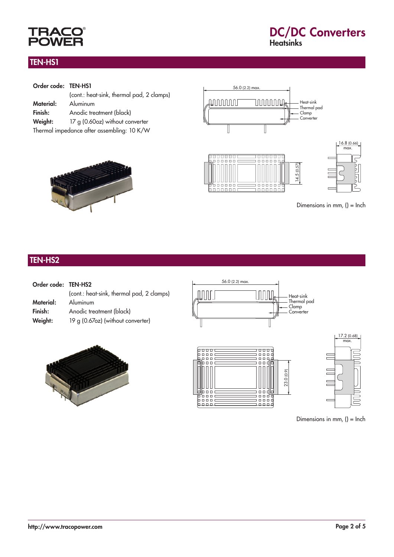

# DC/DC Converters Heatsinks

### TEN-HS1

| Order code: TEN-HS1 |                                            |
|---------------------|--------------------------------------------|
|                     | (cont.: heat-sink, thermal pad, 2 clamps)  |
| <b>Material:</b>    | Aluminum                                   |
| Finish:             | Anodic treatment (black)                   |
| Weight:             | 17 g (0.60oz) without converter            |
|                     | Thermal impedance after assembling: 10 K/W |



Dimensions in mm,  $() =$  Inch

## TEN-HS2

| Order code: TEN-HS2 |                                           |
|---------------------|-------------------------------------------|
|                     | (cont.: heat-sink, thermal pad, 2 clamps) |
| Material:           | Aluminum                                  |
| Finish:             | Anodic treatment (black)                  |
| Weight:             | 19 g (0.67oz) (without converter)         |





Dimensions in mm, () = Inch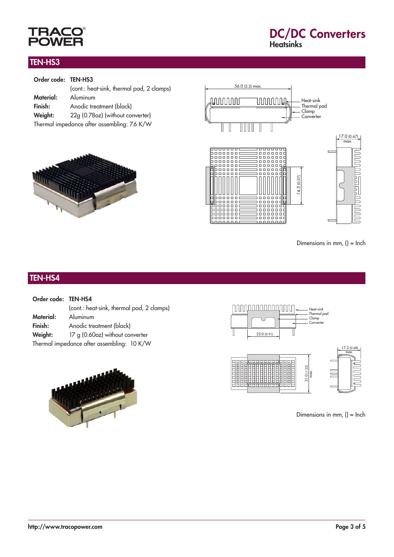

# DC/DC Converters Heatsinks

#### TEN-HS3

| Order code: TEN-HS3 |                                             |
|---------------------|---------------------------------------------|
|                     | (cont.: heat-sink, thermal pad, 2 clamps)   |
| Material:           | Aluminum                                    |
| Finish:             | Anodic treatment (black)                    |
| Weight:             | 22g (0.78oz) (without converter)            |
|                     | Thermal impedance after assembling: 7.6 K/W |





Dimensions in mm,  $() =$  Inch

#### TEN-HS4

| Order code: TEN-HS4 |                                            |
|---------------------|--------------------------------------------|
|                     | (cont.: heat-sink, thermal pad, 2 clamps)  |
| Material:           | Aluminum                                   |
| Finish:             | Anodic treatment (black)                   |
| Weight:             | 17 g (0.60oz) without converter            |
|                     | Thermal impedance after assembling: 10 K/W |





Dimensions in mm,  $() =$  Inch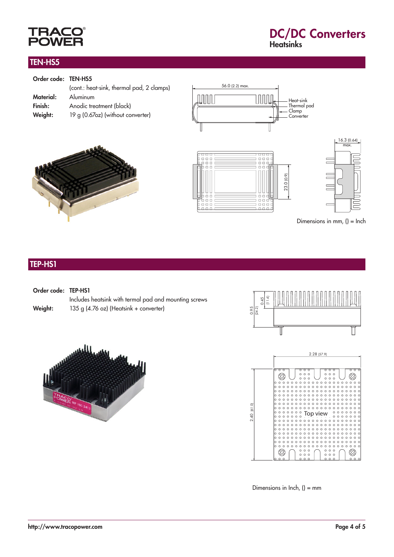

# DC/DC Converters Heatsinks

#### TEN-HS5

| Order code: TEN-HS5 |                                           |
|---------------------|-------------------------------------------|
|                     | (cont.: heat-sink, thermal pad, 2 clamps) |
| Material:           | Aluminum                                  |
| Finish:             | Anodic treatment (black)                  |
| Weight:             | 19 g (0.67oz) (without converter)         |







16.3 (0.64) max.

Dimensions in mm,  $() =$  Inch

### TEP-HS1

| Order code: TEP-HS1 |                                                       |
|---------------------|-------------------------------------------------------|
|                     | Includes heatsink with termal pad and mounting screws |
| Weight:             | 135 g $(4.76 \text{ oz})$ (Heatsink + converter)      |







Dimensions in Inch,  $() = mm$